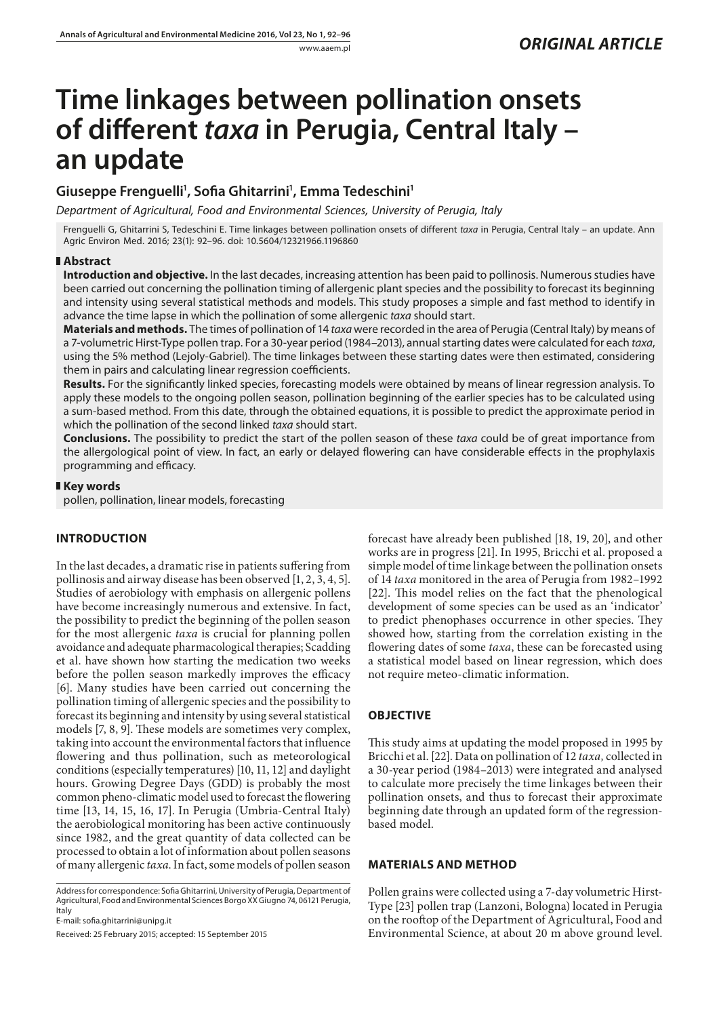# **Time linkages between pollination onsets of different** *taxa* **in Perugia, Central Italy – an update**

## **Giuseppe Frenguelli1 , Sofia Ghitarrini1 , Emma Tedeschini1**

*Department of Agricultural, Food and Environmental Sciences, University of Perugia, Italy*

Frenguelli G, Ghitarrini S, Tedeschini E. Time linkages between pollination onsets of different *taxa* in Perugia, Central Italy – an update. Ann Agric Environ Med. 2016; 23(1): 92–96. doi: 10.5604/12321966.1196860

#### **Abstract**

**Introduction and objective.** In the last decades, increasing attention has been paid to pollinosis. Numerous studies have been carried out concerning the pollination timing of allergenic plant species and the possibility to forecast its beginning and intensity using several statistical methods and models. This study proposes a simple and fast method to identify in advance the time lapse in which the pollination of some allergenic *taxa* should start.

**Materials and methods.** The times of pollination of 14 *taxa* were recorded in the area of Perugia (Central Italy) by means of a 7-volumetric Hirst-Type pollen trap. For a 30-year period (1984–2013), annual starting dates were calculated for each *taxa*, using the 5% method (Lejoly-Gabriel). The time linkages between these starting dates were then estimated, considering them in pairs and calculating linear regression coefficients.

**Results.** For the significantly linked species, forecasting models were obtained by means of linear regression analysis. To apply these models to the ongoing pollen season, pollination beginning of the earlier species has to be calculated using a sum-based method. From this date, through the obtained equations, it is possible to predict the approximate period in which the pollination of the second linked *taxa* should start.

**Conclusions.** The possibility to predict the start of the pollen season of these *taxa* could be of great importance from the allergological point of view. In fact, an early or delayed flowering can have considerable effects in the prophylaxis programming and efficacy.

#### **Key words**

pollen, pollination, linear models, forecasting

## **INTRODUCTION**

In the last decades, a dramatic rise in patients suffering from pollinosis and airway disease has been observed [1, 2, 3, 4, 5]. Studies of aerobiology with emphasis on allergenic pollens have become increasingly numerous and extensive. In fact, the possibility to predict the beginning of the pollen season for the most allergenic *taxa* is crucial for planning pollen avoidance and adequate pharmacological therapies; Scadding et al. have shown how starting the medication two weeks before the pollen season markedly improves the efficacy [6]. Many studies have been carried out concerning the pollination timing of allergenic species and the possibility to forecast its beginning and intensity by using several statistical models [7, 8, 9]. These models are sometimes very complex, taking into account the environmental factors that influence flowering and thus pollination, such as meteorological conditions (especially temperatures) [10, 11, 12] and daylight hours. Growing Degree Days (GDD) is probably the most common pheno-climatic model used to forecast the flowering time [13, 14, 15, 16, 17]. In Perugia (Umbria-Central Italy) the aerobiological monitoring has been active continuously since 1982, and the great quantity of data collected can be processed to obtain a lot of information about pollen seasons of many allergenic *taxa*. In fact, some models of pollen season

Address for correspondence: Sofia Ghitarrini, University of Perugia, Department of Agricultural, Food and Environmental Sciences Borgo XX Giugno 74, 06121 Perugia, Italy

E-mail: sofia.ghitarrini@unipg.it

Received: 25 February 2015; accepted: 15 September 2015

forecast have already been published [18, 19, 20], and other works are in progress [21]. In 1995, Bricchi et al. proposed a simple model of time linkage between the pollination onsets of 14 *taxa* monitored in the area of Perugia from 1982–1992 [22]. This model relies on the fact that the phenological development of some species can be used as an 'indicator' to predict phenophases occurrence in other species. They showed how, starting from the correlation existing in the flowering dates of some *taxa*, these can be forecasted using a statistical model based on linear regression, which does not require meteo-climatic information.

## **OBJECTIVE**

This study aims at updating the model proposed in 1995 by Bricchi et al.[22]. Data on pollination of 12 *taxa,* collected in a 30-year period (1984–2013) were integrated and analysed to calculate more precisely the time linkages between their pollination onsets, and thus to forecast their approximate beginning date through an updated form of the regressionbased model.

### **MATERIALS AND METHOD**

Pollen grains were collected using a 7-day volumetric Hirst-Type [23] pollen trap (Lanzoni, Bologna) located in Perugia on the rooftop of the Department of Agricultural, Food and Environmental Science, at about 20 m above ground level.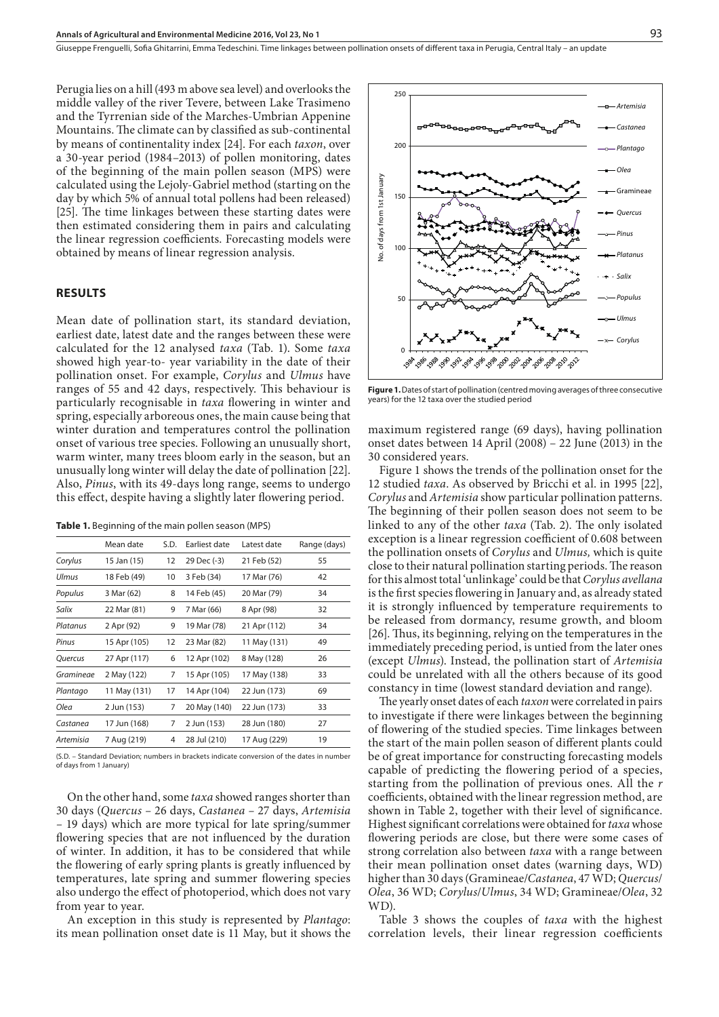Perugia lies on a hill (493 m above sea level) and overlooks the middle valley of the river Tevere, between Lake Trasimeno and the Tyrrenian side of the Marches-Umbrian Appenine Mountains. The climate can by classified as sub-continental by means of continentality index [24]. For each *taxon*, over a 30-year period (1984–2013) of pollen monitoring, dates of the beginning of the main pollen season (MPS) were calculated using the Lejoly-Gabriel method (starting on the day by which 5% of annual total pollens had been released) [25]. The time linkages between these starting dates were then estimated considering them in pairs and calculating the linear regression coefficients. Forecasting models were obtained by means of linear regression analysis.

#### **RESULTS**

Mean date of pollination start, its standard deviation, earliest date, latest date and the ranges between these were calculated for the 12 analysed *taxa* (Tab. 1). Some *taxa* showed high year-to- year variability in the date of their pollination onset. For example, *Corylus* and *Ulmus* have ranges of 55 and 42 days, respectively. This behaviour is particularly recognisable in *taxa* flowering in winter and spring, especially arboreous ones, the main cause being that winter duration and temperatures control the pollination onset of various tree species. Following an unusually short, warm winter, many trees bloom early in the season, but an unusually long winter will delay the date of pollination [22]. Also, *Pinus*, with its 49-days long range, seems to undergo this effect, despite having a slightly later flowering period.

|  |  | Table 1. Beginning of the main pollen season (MPS) |
|--|--|----------------------------------------------------|
|--|--|----------------------------------------------------|

|                | Mean date    | S.D. | Earliest date | Latest date  | Range (days) |
|----------------|--------------|------|---------------|--------------|--------------|
| Corylus        | 15 Jan (15)  | 12   | 29 Dec (-3)   | 21 Feb (52)  | 55           |
| Ulmus          | 18 Feb (49)  | 10   | 3 Feb (34)    | 17 Mar (76)  | 42           |
| Populus        | 3 Mar (62)   | 8    | 14 Feb (45)   | 20 Mar (79)  | 34           |
| Salix          | 22 Mar (81)  | 9    | 7 Mar (66)    | 8 Apr (98)   | 32           |
| Platanus       | 2 Apr (92)   | 9    | 19 Mar (78)   | 21 Apr (112) | 34           |
| Pinus          | 15 Apr (105) | 12   | 23 Mar (82)   | 11 May (131) | 49           |
| <b>Ouercus</b> | 27 Apr (117) | 6    | 12 Apr (102)  | 8 May (128)  | 26           |
| Gramineae      | 2 May (122)  | 7    | 15 Apr (105)  | 17 May (138) | 33           |
| Plantago       | 11 May (131) | 17   | 14 Apr (104)  | 22 Jun (173) | 69           |
| Olea           | 2 Jun (153)  | 7    | 20 May (140)  | 22 Jun (173) | 33           |
| Castanea       | 17 Jun (168) | 7    | 2 Jun (153)   | 28 Jun (180) | 27           |
| Artemisia      | 7 Aug (219)  | 4    | 28 Jul (210)  | 17 Aug (229) | 19           |

(S.D. – Standard Deviation; numbers in brackets indicate conversion of the dates in number of days from 1 January)

On the other hand, some *taxa* showed ranges shorter than 30 days (*Quercus –* 26 days, *Castanea –* 27 days, *Artemisia –* 19 days) which are more typical for late spring/summer flowering species that are not influenced by the duration of winter. In addition, it has to be considered that while the flowering of early spring plants is greatly influenced by temperatures, late spring and summer flowering species also undergo the effect of photoperiod, which does not vary from year to year.

An exception in this study is represented by *Plantago*: its mean pollination onset date is 11 May, but it shows the



**Figure 1.** Dates of start of pollination (centred moving averages of three consecutive years) for the 12 taxa over the studied period

maximum registered range (69 days), having pollination onset dates between 14 April (2008) – 22 June (2013) in the 30 considered years.

Figure 1 shows the trends of the pollination onset for the 12 studied *taxa*. As observed by Bricchi et al. in 1995 [22], *Corylus* and *Artemisia* show particular pollination patterns. The beginning of their pollen season does not seem to be linked to any of the other *taxa* (Tab. 2). The only isolated exception is a linear regression coefficient of 0.608 between the pollination onsets of *Corylus* and *Ulmus,* which is quite close to their natural pollination starting periods. The reason for this almost total 'unlinkage' could be that *Corylus avellana* is the first species flowering in January and, as already stated it is strongly influenced by temperature requirements to be released from dormancy, resume growth, and bloom [26]. Thus, its beginning, relying on the temperatures in the immediately preceding period, is untied from the later ones (except *Ulmus*). Instead, the pollination start of *Artemisia* could be unrelated with all the others because of its good constancy in time (lowest standard deviation and range).

The yearly onset dates of each *taxon* were correlated in pairs to investigate if there were linkages between the beginning of flowering of the studied species. Time linkages between the start of the main pollen season of different plants could be of great importance for constructing forecasting models capable of predicting the flowering period of a species, starting from the pollination of previous ones. All the *r* coefficients, obtained with the linear regression method, are shown in Table 2, together with their level of significance. Highest significant correlations were obtained for *taxa* whose flowering periods are close, but there were some cases of strong correlation also between *taxa* with a range between their mean pollination onset dates (warning days, WD) higher than 30 days (Gramineae/*Castanea*, 47 WD; *Quercus*/ *Olea*, 36 WD; *Corylus*/*Ulmus*, 34 WD; Gramineae/*Olea*, 32 WD).

Table 3 shows the couples of *taxa* with the highest correlation levels, their linear regression coefficients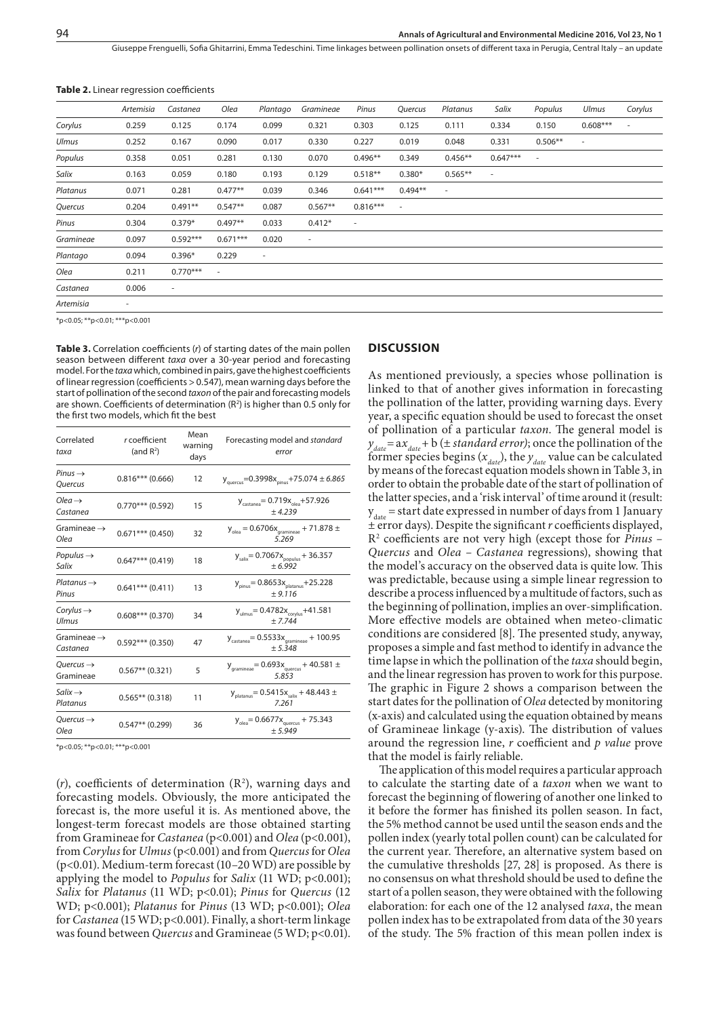Giuseppe Frenguelli, Sofia Ghitarrini, Emma Tedeschini, Time linkages between pollination onsets of different taxa in Perugia, Central Italy – an update

| <b>Table 2.</b> Linear regression coefficients |  |
|------------------------------------------------|--|
|------------------------------------------------|--|

|              | Artemisia                | Castanea                 | Olea       | Plantago | Gramineae                | Pinus      | Quercus   | Platanus                 | Salix      | Populus                  | Ulmus                    | Corylus        |
|--------------|--------------------------|--------------------------|------------|----------|--------------------------|------------|-----------|--------------------------|------------|--------------------------|--------------------------|----------------|
| Corylus      | 0.259                    | 0.125                    | 0.174      | 0.099    | 0.321                    | 0.303      | 0.125     | 0.111                    | 0.334      | 0.150                    | $0.608***$               | $\overline{a}$ |
| <b>Ulmus</b> | 0.252                    | 0.167                    | 0.090      | 0.017    | 0.330                    | 0.227      | 0.019     | 0.048                    | 0.331      | $0.506**$                | $\overline{\phantom{a}}$ |                |
| Populus      | 0.358                    | 0.051                    | 0.281      | 0.130    | 0.070                    | $0.496**$  | 0.349     | $0.456**$                | $0.647***$ | $\overline{\phantom{a}}$ |                          |                |
| Salix        | 0.163                    | 0.059                    | 0.180      | 0.193    | 0.129                    | $0.518**$  | $0.380*$  | $0.565**$                | $\sim$     |                          |                          |                |
| Platanus     | 0.071                    | 0.281                    | $0.477**$  | 0.039    | 0.346                    | $0.641***$ | $0.494**$ | $\overline{\phantom{a}}$ |            |                          |                          |                |
| Quercus      | 0.204                    | $0.491**$                | $0.547**$  | 0.087    | $0.567**$                | $0.816***$ | $\sim$    |                          |            |                          |                          |                |
| Pinus        | 0.304                    | $0.379*$                 | $0.497**$  | 0.033    | $0.412*$                 | $\sim$     |           |                          |            |                          |                          |                |
| Gramineae    | 0.097                    | $0.592***$               | $0.671***$ | 0.020    | $\overline{\phantom{a}}$ |            |           |                          |            |                          |                          |                |
| Plantago     | 0.094                    | $0.396*$                 | 0.229      | $\sim$   |                          |            |           |                          |            |                          |                          |                |
| Olea         | 0.211                    | $0.770***$               | ÷          |          |                          |            |           |                          |            |                          |                          |                |
| Castanea     | 0.006                    | $\overline{\phantom{a}}$ |            |          |                          |            |           |                          |            |                          |                          |                |
| Artemisia    | $\overline{\phantom{a}}$ |                          |            |          |                          |            |           |                          |            |                          |                          |                |
|              |                          |                          |            |          |                          |            |           |                          |            |                          |                          |                |

\*p<0.05; \*\*p<0.01; \*\*\*p<0.001

**Table 3.** Correlation coefficients (*r*) of starting dates of the main pollen season between different *taxa* over a 30-year period and forecasting model. For the *taxa* which, combined in pairs, gave the highest coefficients of linear regression (coefficients > 0.547), mean warning days before the start of pollination of the second *taxon* of the pair and forecasting models are shown. Coefficients of determination (R<sup>2</sup>) is higher than 0.5 only for the first two models, which fit the best

| Correlated<br>taxa                  | r coefficient<br>(and R <sup>2</sup> ) | Mean<br>warning<br>days | Forecasting model and standard<br>error                                   |
|-------------------------------------|----------------------------------------|-------------------------|---------------------------------------------------------------------------|
| $Pinus \rightarrow$<br>Quercus      | $0.816***$ (0.666)                     | 12                      | $y_{\text{quercus}}$ =0.3998 $x_{\text{pinus}}$ +75.074 ± 6.865           |
| $Olea \rightarrow$<br>Castanea      | $0.770***$ (0.592)                     | 15                      | $y_{\text{castanea}} = 0.719x_{\text{olea}} + 57.926$<br>± 4.239          |
| Gramineae $\rightarrow$<br>Olea     | $0.671***$ (0.450)                     | 32                      | $y_{\text{olea}} = 0.6706x_{\text{gramineae}} + 71.878 \pm$<br>5.269      |
| Populus $\rightarrow$<br>Salix      | $0.647***$ (0.419)                     | 18                      | $y_{\text{salix}} = 0.7067x_{\text{populus}} + 36.357$<br>$+6.992$        |
| $Platanus \rightarrow$<br>Pinus     | $0.641***$ (0.411)                     | 13                      | $y_{\text{pinus}} = 0.8653x_{\text{platanus}} + 25.228$<br>± 9.116        |
| Corylus $\rightarrow$<br>Ulmus      | $0.608***(0.370)$                      | 34                      | $y_{\text{ulmus}} = 0.4782x_{\text{corylus}} + 41.581$<br>$+7.744$        |
| Gramineae $\rightarrow$<br>Castanea | $0.592***$ (0.350)                     | 47                      | $y_{\text{castanea}} = 0.5533x_{\text{gramineae}} + 100.95$<br>$+5.348$   |
| Ouercus $\rightarrow$<br>Gramineae  | $0.567**$ (0.321)                      | 5                       | $y_{\text{gramineae}}$ = 0.693 $x_{\text{query}}$ + 40.581 $\pm$<br>5.853 |
| $S$ alix $\rightarrow$<br>Platanus  | $0.565**$ (0.318)                      | 11                      | $y_{\text{platanus}} = 0.5415x_{\text{salix}} + 48.443 \pm$<br>7.261      |
| Ouercus $\rightarrow$<br>Olea       | $0.547**$ (0.299)                      | 36                      | $y_{\text{olea}} = 0.6677x_{\text{quercus}} + 75.343$<br>± 5.949          |

\*p<0.05; \*\*p<0.01; \*\*\*p<0.001

 $(r)$ , coefficients of determination  $(R^2)$ , warning days and forecasting models. Obviously, the more anticipated the forecast is, the more useful it is. As mentioned above, the longest-term forecast models are those obtained starting from Gramineae for *Castanea* (p<0.001) and *Olea* (p<0.001), from *Corylus* for *Ulmus* (p<0.001) and from *Quercus* for *Olea* (p<0.01). Medium-term forecast (10–20 WD) are possible by applying the model to *Populus* for *Salix* (11 WD; p<0.001); *Salix* for *Platanus* (11 WD; p<0.01); *Pinus* for *Quercus* (12 WD; p<0.001); *Platanus* for *Pinus* (13 WD; p<0.001); *Olea* for *Castanea* (15 WD; p<0.001). Finally, a short-term linkage was found between *Quercus* and Gramineae (5 WD; p<0.01).

#### **DISCUSSION**

As mentioned previously, a species whose pollination is linked to that of another gives information in forecasting the pollination of the latter, providing warning days. Every year, a specific equation should be used to forecast the onset of pollination of a particular *taxon*. The general model is  $y_{\text{date}} = ax_{\text{date}} + b \ (\pm \text{standard error})$ ; once the pollination of the former species begins  $(x_{\text{data}})$ , the  $y_{\text{data}}$  value can be calculated by means of the forecast equation models shown in Table 3, in order to obtain the probable date of the start of pollination of the latter species, and a 'risk interval' of time around it (result:  $y_{\text{date}}$  = start date expressed in number of days from 1 January ± error days). Despite the significant *r* coefficients displayed, R2 coefficients are not very high (except those for *Pinus – Quercus* and *Olea – Castanea* regressions), showing that the model's accuracy on the observed data is quite low. This was predictable, because using a simple linear regression to describe a process influenced by a multitude of factors, such as the beginning of pollination, implies an over-simplification. More effective models are obtained when meteo-climatic conditions are considered [8]. The presented study, anyway, proposes a simple and fast method to identify in advance the time lapse in which the pollination of the *taxa* should begin, and the linear regression has proven to work for this purpose. The graphic in Figure 2 shows a comparison between the start dates for the pollination of *Olea* detected by monitoring (x-axis) and calculated using the equation obtained by means of Gramineae linkage (y-axis). The distribution of values around the regression line, *r* coefficient and *p value* prove that the model is fairly reliable.

The application of this model requires a particular approach to calculate the starting date of a *taxon* when we want to forecast the beginning of flowering of another one linked to it before the former has finished its pollen season. In fact, the 5% method cannot be used until the season ends and the pollen index (yearly total pollen count) can be calculated for the current year. Therefore, an alternative system based on the cumulative thresholds [27, 28] is proposed. As there is no consensus on what threshold should be used to define the start of a pollen season, they were obtained with the following elaboration: for each one of the 12 analysed *taxa*, the mean pollen index has to be extrapolated from data of the 30 years of the study. The 5% fraction of this mean pollen index is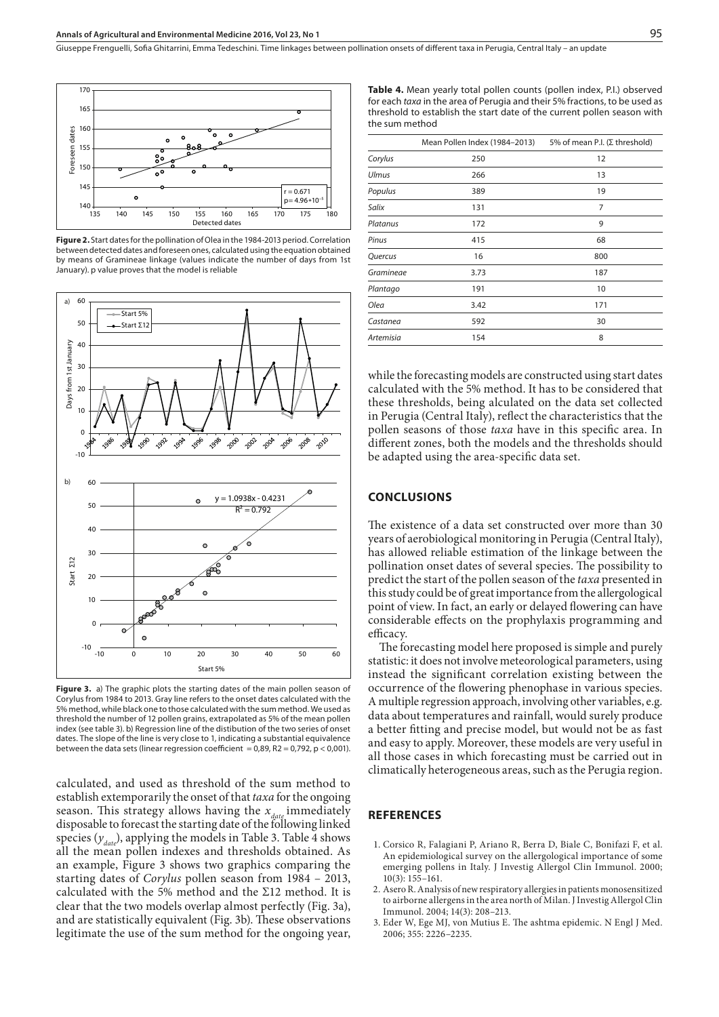

**Figure 2.** Start dates for the pollination of Olea in the 1984-2013 period. Correlation between detected dates and foreseen ones, calculated using the equation obtained by means of Gramineae linkage (values indicate the number of days from 1st January). p value proves that the model is reliable



**Figure 3.** a) The graphic plots the starting dates of the main pollen season of Corylus from 1984 to 2013. Gray line refers to the onset dates calculated with the 5% method, while black one to those calculated with the sum method. We used as threshold the number of 12 pollen grains, extrapolated as 5% of the mean pollen index (see table 3). b) Regression line of the distibution of the two series of onset dates. The slope of the line is very close to 1, indicating a substantial equivalence between the data sets (linear regression coefficient =  $0.89$ , R2 =  $0.792$ , p <  $0.001$ ).

calculated, and used as threshold of the sum method to establish extemporarily the onset of that *taxa* for the ongoing season. This strategy allows having the  $x_{\text{date}}$  immediately disposable to forecast the starting date of the following linked species  $(y_{\text{date}})$ , applying the models in Table 3. Table 4 shows all the mean pollen indexes and thresholds obtained. As an example, Figure 3 shows two graphics comparing the starting dates of *Corylus* pollen season from 1984 – 2013, calculated with the 5% method and the Σ12 method. It is clear that the two models overlap almost perfectly (Fig. 3a), and are statistically equivalent (Fig. 3b). These observations legitimate the use of the sum method for the ongoing year,

**Table 4.** Mean yearly total pollen counts (pollen index, P.I.) observed for each *taxa* in the area of Perugia and their 5% fractions, to be used as threshold to establish the start date of the current pollen season with the sum method

|                  | Mean Pollen Index (1984-2013) | 5% of mean P.I. ( $\Sigma$ threshold) |
|------------------|-------------------------------|---------------------------------------|
| Corylus          | 250                           | 12                                    |
| <b>Ulmus</b>     | 266                           | 13                                    |
| Populus          | 389                           | 19                                    |
| Salix            | 131                           | 7                                     |
| Platanus         | 172                           | 9                                     |
| Pinus            | 415                           | 68                                    |
| Quercus          | 16                            | 800                                   |
| Gramineae        | 3.73                          | 187                                   |
| Plantago         | 191                           | 10                                    |
| Olea             | 3.42                          | 171                                   |
| Castanea         | 592                           | 30                                    |
| <b>Artemisia</b> | 154                           | 8                                     |
|                  |                               |                                       |

while the forecasting models are constructed using start dates calculated with the 5% method. It has to be considered that these thresholds, being alculated on the data set collected in Perugia (Central Italy), reflect the characteristics that the pollen seasons of those *taxa* have in this specific area. In different zones, both the models and the thresholds should be adapted using the area-specific data set.

#### **CONCLUSIONS**

The existence of a data set constructed over more than 30 years of aerobiological monitoring in Perugia (Central Italy), has allowed reliable estimation of the linkage between the pollination onset dates of several species. The possibility to predict the start of the pollen season of the *taxa* presented in this study could be of great importance from the allergological point of view. In fact, an early or delayed flowering can have considerable effects on the prophylaxis programming and efficacy.

The forecasting model here proposed is simple and purely statistic: it does not involve meteorological parameters, using instead the significant correlation existing between the occurrence of the flowering phenophase in various species. A multiple regression approach, involving other variables, e.g. data about temperatures and rainfall, would surely produce a better fitting and precise model, but would not be as fast and easy to apply. Moreover, these models are very useful in all those cases in which forecasting must be carried out in climatically heterogeneous areas, such as the Perugia region.

#### **REFERENCES**

- 1. Corsico R, Falagiani P, Ariano R, Berra D, Biale C, Bonifazi F, et al. An epidemiological survey on the allergological importance of some emerging pollens in Italy. J Investig Allergol Clin Immunol. 2000; 10(3): 155–161.
- 2. Asero R. Analysis of new respiratory allergies in patients monosensitized to airborne allergens in the area north of Milan. J Investig Allergol Clin Immunol. 2004; 14(3): 208–213.
- 3. Eder W, Ege MJ, von Mutius E. The ashtma epidemic. N Engl J Med. 2006; 355: 2226–2235.